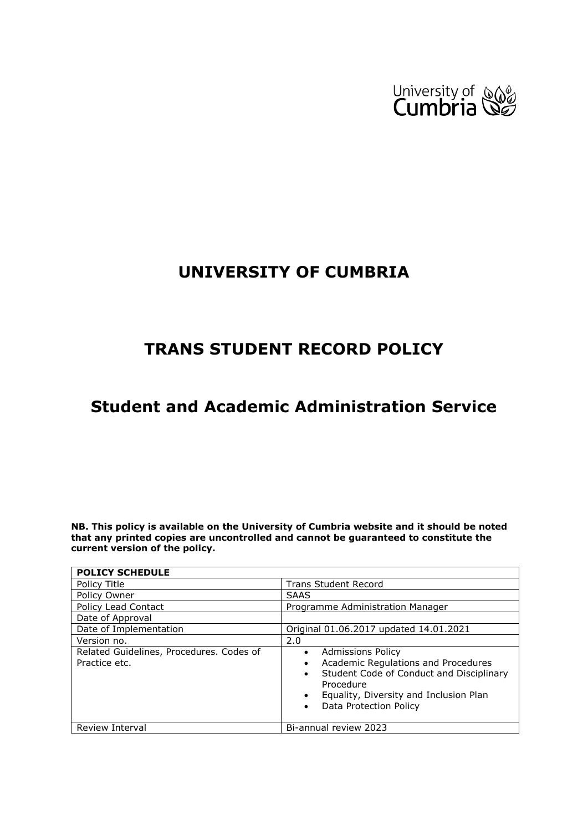

# **UNIVERSITY OF CUMBRIA**

# **TRANS STUDENT RECORD POLICY**

# **Student and Academic Administration Service**

**NB. This policy is available on the University of Cumbria website and it should be noted that any printed copies are uncontrolled and cannot be guaranteed to constitute the current version of the policy.**

| <b>POLICY SCHEDULE</b>                                    |                                                                                                                                                                                                                                                  |  |  |
|-----------------------------------------------------------|--------------------------------------------------------------------------------------------------------------------------------------------------------------------------------------------------------------------------------------------------|--|--|
| Policy Title                                              | <b>Trans Student Record</b>                                                                                                                                                                                                                      |  |  |
| Policy Owner                                              | <b>SAAS</b>                                                                                                                                                                                                                                      |  |  |
| Policy Lead Contact                                       | Programme Administration Manager                                                                                                                                                                                                                 |  |  |
| Date of Approval                                          |                                                                                                                                                                                                                                                  |  |  |
| Date of Implementation                                    | Original 01.06.2017 updated 14.01.2021                                                                                                                                                                                                           |  |  |
| Version no.                                               | 2.0                                                                                                                                                                                                                                              |  |  |
| Related Guidelines, Procedures. Codes of<br>Practice etc. | <b>Admissions Policy</b><br>$\bullet$<br>Academic Regulations and Procedures<br>$\bullet$<br>Student Code of Conduct and Disciplinary<br>$\bullet$<br>Procedure<br>Equality, Diversity and Inclusion Plan<br>Data Protection Policy<br>$\bullet$ |  |  |
| Review Interval                                           | Bi-annual review 2023                                                                                                                                                                                                                            |  |  |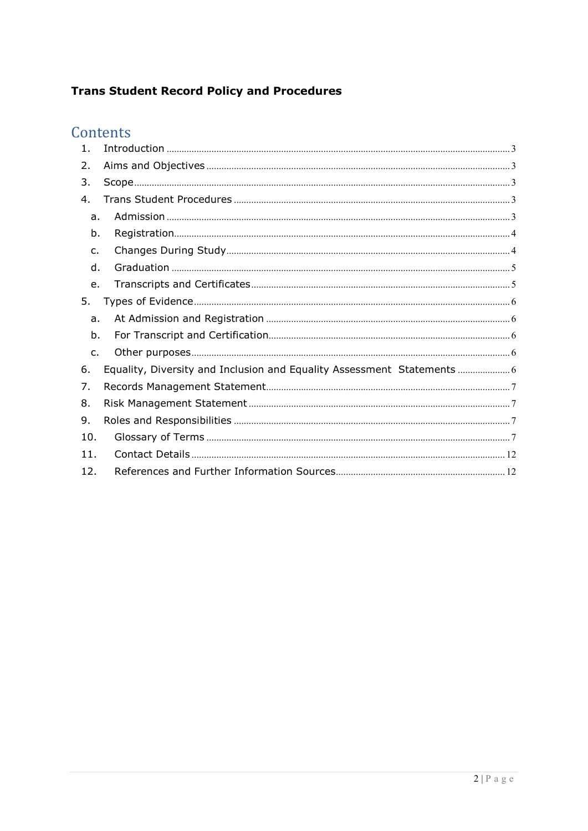## **Trans Student Record Policy and Procedures**

# Contents

| $\mathbf{1}$ . |                                                                      |
|----------------|----------------------------------------------------------------------|
| 2.             |                                                                      |
| 3.             |                                                                      |
| 4.             |                                                                      |
| a.             |                                                                      |
| b.             |                                                                      |
| $\mathsf{C}$ . |                                                                      |
| d.             |                                                                      |
| e.             |                                                                      |
| 5.             |                                                                      |
| a.             |                                                                      |
| b.             |                                                                      |
| $C_{\bullet}$  |                                                                      |
| 6.             | Equality, Diversity and Inclusion and Equality Assessment Statements |
| 7.             |                                                                      |
| 8.             |                                                                      |
| 9.             |                                                                      |
| 10.            |                                                                      |
| 11.            |                                                                      |
| 12.            |                                                                      |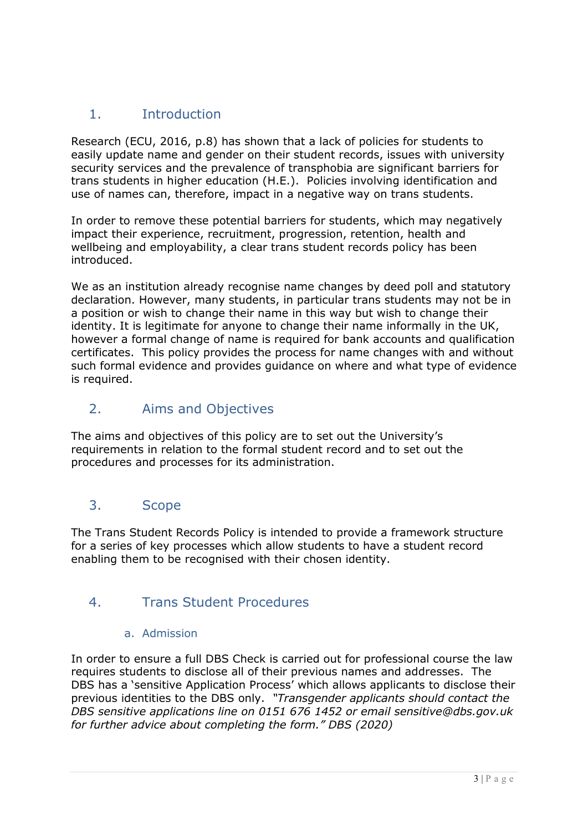# <span id="page-2-0"></span>1. Introduction

Research (ECU, 2016, p.8) has shown that a lack of policies for students to easily update name and gender on their student records, issues with university security services and the prevalence of transphobia are significant barriers for trans students in higher education (H.E.). Policies involving identification and use of names can, therefore, impact in a negative way on trans students.

In order to remove these potential barriers for students, which may negatively impact their experience, recruitment, progression, retention, health and wellbeing and employability, a clear trans student records policy has been introduced.

We as an institution already recognise name changes by deed poll and statutory declaration. However, many students, in particular trans students may not be in a position or wish to change their name in this way but wish to change their identity. It is legitimate for anyone to change their name informally in the UK, however a formal change of name is required for bank accounts and qualification certificates. This policy provides the process for name changes with and without such formal evidence and provides guidance on where and what type of evidence is required.

## <span id="page-2-1"></span>2. Aims and Objectives

The aims and objectives of this policy are to set out the University's requirements in relation to the formal student record and to set out the procedures and processes for its administration.

## <span id="page-2-2"></span>3. Scope

The Trans Student Records Policy is intended to provide a framework structure for a series of key processes which allow students to have a student record enabling them to be recognised with their chosen identity.

# 4. Trans Student Procedures

### <span id="page-2-3"></span>a. Admission

<span id="page-2-4"></span>In order to ensure a full DBS Check is carried out for professional course the law requires students to disclose all of their previous names and addresses. The DBS has a 'sensitive Application Process' which allows applicants to disclose their previous identities to the DBS only. *"Transgender applicants should contact the DBS sensitive applications line on 0151 676 1452 or email sensitive@dbs.gov.uk for further advice about completing the form." DBS (2020)*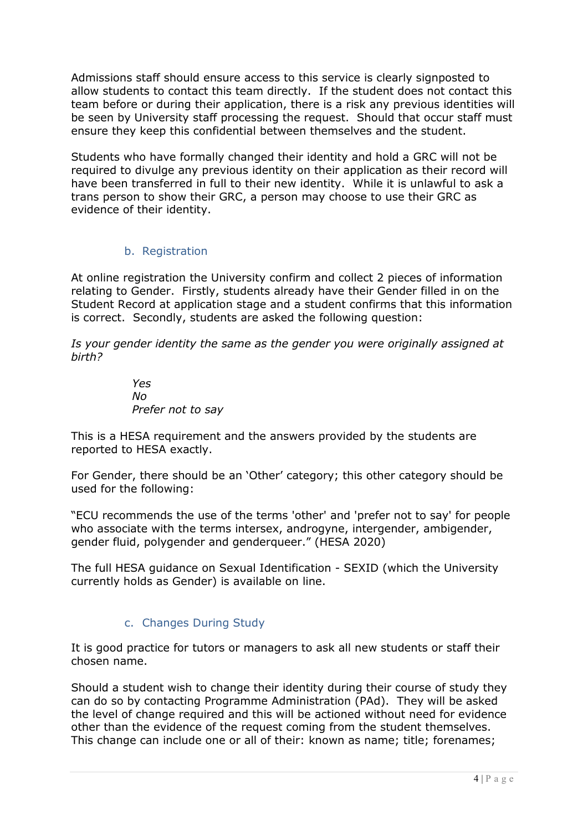Admissions staff should ensure access to this service is clearly signposted to allow students to contact this team directly. If the student does not contact this team before or during their application, there is a risk any previous identities will be seen by University staff processing the request. Should that occur staff must ensure they keep this confidential between themselves and the student.

Students who have formally changed their identity and hold a GRC will not be required to divulge any previous identity on their application as their record will have been transferred in full to their new identity. While it is unlawful to ask a trans person to show their GRC, a person may choose to use their GRC as evidence of their identity.

#### b. Registration

<span id="page-3-0"></span>At online registration the University confirm and collect 2 pieces of information relating to Gender. Firstly, students already have their Gender filled in on the Student Record at application stage and a student confirms that this information is correct. Secondly, students are asked the following question:

*Is your gender identity the same as the gender you were originally assigned at birth?*

> *Yes No Prefer not to say*

This is a HESA requirement and the answers provided by the students are reported to HESA exactly.

For Gender, there should be an 'Other' category; this other category should be used for the following:

"ECU recommends the use of the terms 'other' and 'prefer not to say' for people who associate with the terms intersex, androgyne, intergender, ambigender, gender fluid, polygender and genderqueer." (HESA 2020)

The full HESA guidance on Sexual Identification - SEXID (which the University currently holds as Gender) is available on line.

### c. Changes During Study

<span id="page-3-1"></span>It is good practice for tutors or managers to ask all new students or staff their chosen name.

Should a student wish to change their identity during their course of study they can do so by contacting Programme Administration (PAd). They will be asked the level of change required and this will be actioned without need for evidence other than the evidence of the request coming from the student themselves. This change can include one or all of their: known as name; title; forenames;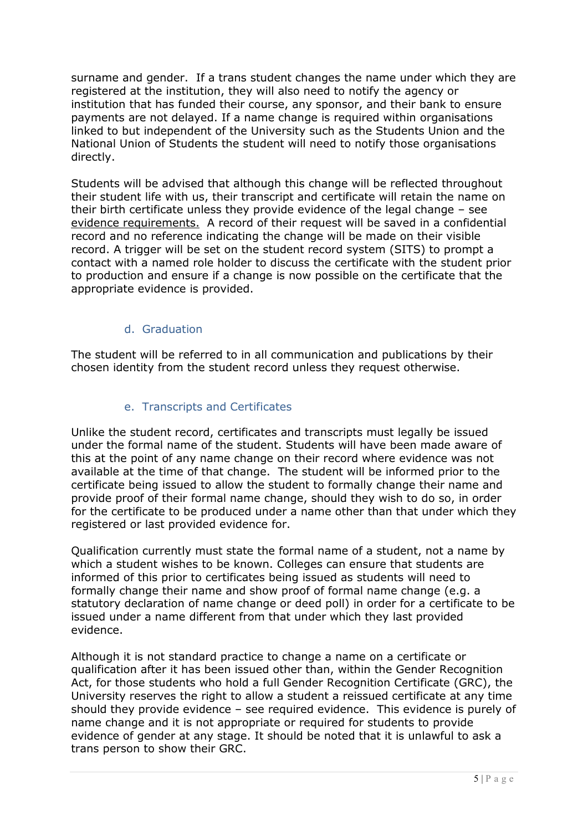surname and gender. If a trans student changes the name under which they are registered at the institution, they will also need to notify the agency or institution that has funded their course, any sponsor, and their bank to ensure payments are not delayed. If a name change is required within organisations linked to but independent of the University such as the Students Union and the National Union of Students the student will need to notify those organisations directly.

Students will be advised that although this change will be reflected throughout their student life with us, their transcript and certificate will retain the name on their birth certificate unless they provide evidence of the legal change – see [evidence requirements.](#page-5-5) A record of their request will be saved in a confidential record and no reference indicating the change will be made on their visible record. A trigger will be set on the student record system (SITS) to prompt a contact with a named role holder to discuss the certificate with the student prior to production and ensure if a change is now possible on the certificate that the appropriate evidence is provided.

#### d. Graduation

<span id="page-4-0"></span>The student will be referred to in all communication and publications by their chosen identity from the student record unless they request otherwise.

#### e. Transcripts and Certificates

<span id="page-4-1"></span>Unlike the student record, certificates and transcripts must legally be issued under the formal name of the student. Students will have been made aware of this at the point of any name change on their record where evidence was not available at the time of that change. The student will be informed prior to the certificate being issued to allow the student to formally change their name and provide proof of their formal name change, should they wish to do so, in order for the certificate to be produced under a name other than that under which they registered or last provided evidence for.

Qualification currently must state the formal name of a student, not a name by which a student wishes to be known. Colleges can ensure that students are informed of this prior to certificates being issued as students will need to formally change their name and show proof of formal name change (e.g. a statutory declaration of name change or deed poll) in order for a certificate to be issued under a name different from that under which they last provided evidence.

Although it is not standard practice to change a name on a certificate or qualification after it has been issued other than, within the Gender Recognition Act, for those students who hold a full Gender Recognition Certificate (GRC), the University reserves the right to allow a student a reissued certificate at any time should they provide evidence – see required evidence. This evidence is purely of name change and it is not appropriate or required for students to provide evidence of gender at any stage. It should be noted that it is unlawful to ask a trans person to show their GRC.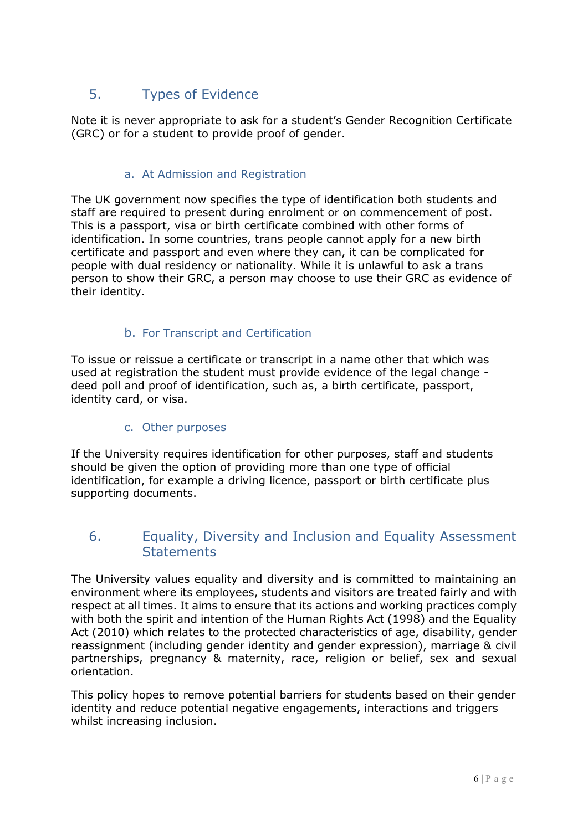# <span id="page-5-5"></span><span id="page-5-0"></span>5. Types of Evidence

Note it is never appropriate to ask for a student's Gender Recognition Certificate (GRC) or for a student to provide proof of gender.

#### a. At Admission and Registration

<span id="page-5-1"></span>The UK government now specifies the type of identification both students and staff are required to present during enrolment or on commencement of post. This is a passport, visa or birth certificate combined with other forms of identification. In some countries, trans people cannot apply for a new birth certificate and passport and even where they can, it can be complicated for people with dual residency or nationality. While it is unlawful to ask a trans person to show their GRC, a person may choose to use their GRC as evidence of their identity.

### b. For Transcript and Certification

<span id="page-5-2"></span>To issue or reissue a certificate or transcript in a name other that which was used at registration the student must provide evidence of the legal change deed poll and proof of identification, such as, a birth certificate, passport, identity card, or visa.

#### c. Other purposes

<span id="page-5-3"></span>If the University requires identification for other purposes, staff and students should be given the option of providing more than one type of official identification, for example a driving licence, passport or birth certificate plus supporting documents.

### <span id="page-5-4"></span>6. Equality, Diversity and Inclusion and Equality Assessment **Statements**

The University values equality and diversity and is committed to maintaining an environment where its employees, students and visitors are treated fairly and with respect at all times. It aims to ensure that its actions and working practices comply with both the spirit and intention of the Human Rights Act (1998) and the Equality Act (2010) which relates to the protected characteristics of age, disability, gender reassignment (including gender identity and gender expression), marriage & civil partnerships, pregnancy & maternity, race, religion or belief, sex and sexual orientation.

This policy hopes to remove potential barriers for students based on their gender identity and reduce potential negative engagements, interactions and triggers whilst increasing inclusion.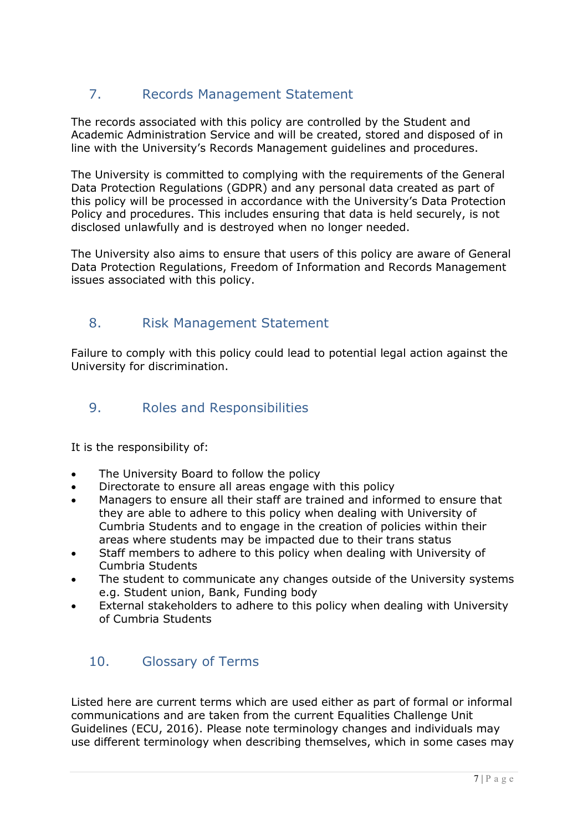# <span id="page-6-0"></span>7. Records Management Statement

The records associated with this policy are controlled by the Student and Academic Administration Service and will be created, stored and disposed of in line with the University's Records Management guidelines and procedures.

The University is committed to complying with the requirements of the General Data Protection Regulations (GDPR) and any personal data created as part of this policy will be processed in accordance with the University's Data Protection Policy and procedures. This includes ensuring that data is held securely, is not disclosed unlawfully and is destroyed when no longer needed.

The University also aims to ensure that users of this policy are aware of General Data Protection Regulations, Freedom of Information and Records Management issues associated with this policy.

## <span id="page-6-1"></span>8. Risk Management Statement

Failure to comply with this policy could lead to potential legal action against the University for discrimination.

## <span id="page-6-2"></span>9. Roles and Responsibilities

It is the responsibility of:

- The University Board to follow the policy
- Directorate to ensure all areas engage with this policy
- Managers to ensure all their staff are trained and informed to ensure that they are able to adhere to this policy when dealing with University of Cumbria Students and to engage in the creation of policies within their areas where students may be impacted due to their trans status
- Staff members to adhere to this policy when dealing with University of Cumbria Students
- The student to communicate any changes outside of the University systems e.g. Student union, Bank, Funding body
- External stakeholders to adhere to this policy when dealing with University of Cumbria Students

## <span id="page-6-3"></span>10. Glossary of Terms

Listed here are current terms which are used either as part of formal or informal communications and are taken from the current Equalities Challenge Unit Guidelines (ECU, 2016). Please note terminology changes and individuals may use different terminology when describing themselves, which in some cases may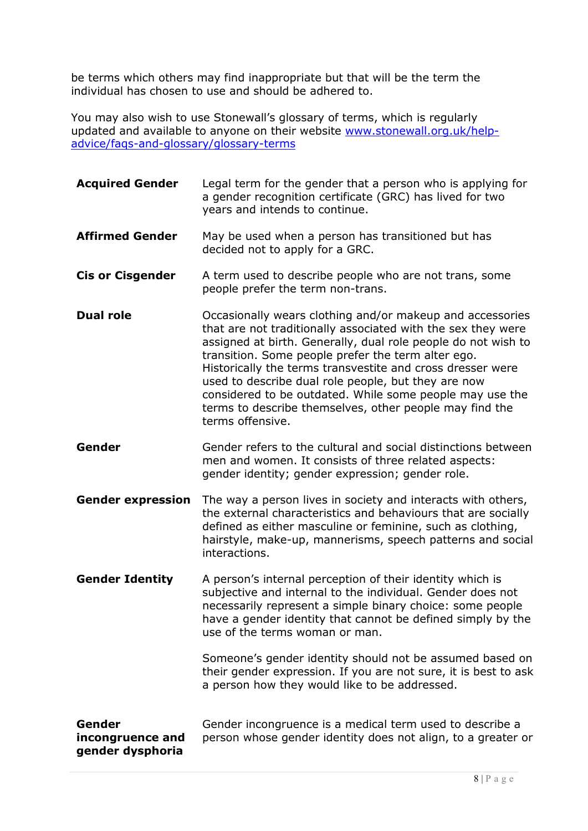be terms which others may find inappropriate but that will be the term the individual has chosen to use and should be adhered to.

You may also wish to use Stonewall's glossary of terms, which is regularly updated and available to anyone on their website [www.stonewall.org.uk/help](http://www.stonewall.org.uk/help-advice/faqs-and-glossary/glossary-terms)[advice/faqs-and-glossary/glossary-terms](http://www.stonewall.org.uk/help-advice/faqs-and-glossary/glossary-terms)

| <b>Acquired Gender</b>                         | Legal term for the gender that a person who is applying for<br>a gender recognition certificate (GRC) has lived for two<br>years and intends to continue.                                                                                                                                                                                                                                                                                                                                                        |  |
|------------------------------------------------|------------------------------------------------------------------------------------------------------------------------------------------------------------------------------------------------------------------------------------------------------------------------------------------------------------------------------------------------------------------------------------------------------------------------------------------------------------------------------------------------------------------|--|
| <b>Affirmed Gender</b>                         | May be used when a person has transitioned but has<br>decided not to apply for a GRC.                                                                                                                                                                                                                                                                                                                                                                                                                            |  |
| <b>Cis or Cisgender</b>                        | A term used to describe people who are not trans, some<br>people prefer the term non-trans.                                                                                                                                                                                                                                                                                                                                                                                                                      |  |
| <b>Dual role</b>                               | Occasionally wears clothing and/or makeup and accessories<br>that are not traditionally associated with the sex they were<br>assigned at birth. Generally, dual role people do not wish to<br>transition. Some people prefer the term alter ego.<br>Historically the terms transvestite and cross dresser were<br>used to describe dual role people, but they are now<br>considered to be outdated. While some people may use the<br>terms to describe themselves, other people may find the<br>terms offensive. |  |
| Gender                                         | Gender refers to the cultural and social distinctions between<br>men and women. It consists of three related aspects:<br>gender identity; gender expression; gender role.                                                                                                                                                                                                                                                                                                                                        |  |
| <b>Gender expression</b>                       | The way a person lives in society and interacts with others,<br>the external characteristics and behaviours that are socially<br>defined as either masculine or feminine, such as clothing,<br>hairstyle, make-up, mannerisms, speech patterns and social<br>interactions.                                                                                                                                                                                                                                       |  |
| <b>Gender Identity</b>                         | A person's internal perception of their identity which is<br>subjective and internal to the individual. Gender does not<br>necessarily represent a simple binary choice: some people<br>have a gender identity that cannot be defined simply by the<br>use of the terms woman or man.                                                                                                                                                                                                                            |  |
|                                                | Someone's gender identity should not be assumed based on<br>their gender expression. If you are not sure, it is best to ask<br>a person how they would like to be addressed.                                                                                                                                                                                                                                                                                                                                     |  |
| Gender<br>incongruence and<br>gender dysphoria | Gender incongruence is a medical term used to describe a<br>person whose gender identity does not align, to a greater or                                                                                                                                                                                                                                                                                                                                                                                         |  |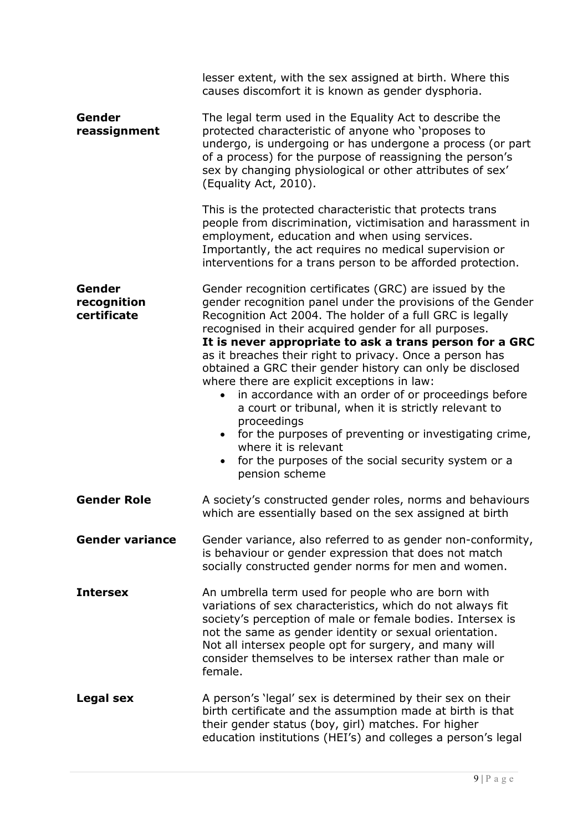|                                      | lesser extent, with the sex assigned at birth. Where this<br>causes discomfort it is known as gender dysphoria.                                                                                                                                                                                                                                                         |
|--------------------------------------|-------------------------------------------------------------------------------------------------------------------------------------------------------------------------------------------------------------------------------------------------------------------------------------------------------------------------------------------------------------------------|
| Gender<br>reassignment               | The legal term used in the Equality Act to describe the<br>protected characteristic of anyone who 'proposes to<br>undergo, is undergoing or has undergone a process (or part<br>of a process) for the purpose of reassigning the person's<br>sex by changing physiological or other attributes of sex'<br>(Equality Act, 2010).                                         |
|                                      | This is the protected characteristic that protects trans<br>people from discrimination, victimisation and harassment in<br>employment, education and when using services.<br>Importantly, the act requires no medical supervision or<br>interventions for a trans person to be afforded protection.                                                                     |
| Gender<br>recognition<br>certificate | Gender recognition certificates (GRC) are issued by the<br>gender recognition panel under the provisions of the Gender<br>Recognition Act 2004. The holder of a full GRC is legally<br>recognised in their acquired gender for all purposes.<br>It is never appropriate to ask a trans person for a GRC                                                                 |
|                                      | as it breaches their right to privacy. Once a person has<br>obtained a GRC their gender history can only be disclosed<br>where there are explicit exceptions in law:                                                                                                                                                                                                    |
|                                      | in accordance with an order of or proceedings before<br>a court or tribunal, when it is strictly relevant to<br>proceedings                                                                                                                                                                                                                                             |
|                                      | for the purposes of preventing or investigating crime,<br>where it is relevant<br>for the purposes of the social security system or a<br>pension scheme                                                                                                                                                                                                                 |
| <b>Gender Role</b>                   | A society's constructed gender roles, norms and behaviours<br>which are essentially based on the sex assigned at birth                                                                                                                                                                                                                                                  |
| <b>Gender variance</b>               | Gender variance, also referred to as gender non-conformity,<br>is behaviour or gender expression that does not match<br>socially constructed gender norms for men and women.                                                                                                                                                                                            |
| <b>Intersex</b>                      | An umbrella term used for people who are born with<br>variations of sex characteristics, which do not always fit<br>society's perception of male or female bodies. Intersex is<br>not the same as gender identity or sexual orientation.<br>Not all intersex people opt for surgery, and many will<br>consider themselves to be intersex rather than male or<br>female. |
| Legal sex                            | A person's 'legal' sex is determined by their sex on their<br>birth certificate and the assumption made at birth is that<br>their gender status (boy, girl) matches. For higher<br>education institutions (HEI's) and colleges a person's legal                                                                                                                         |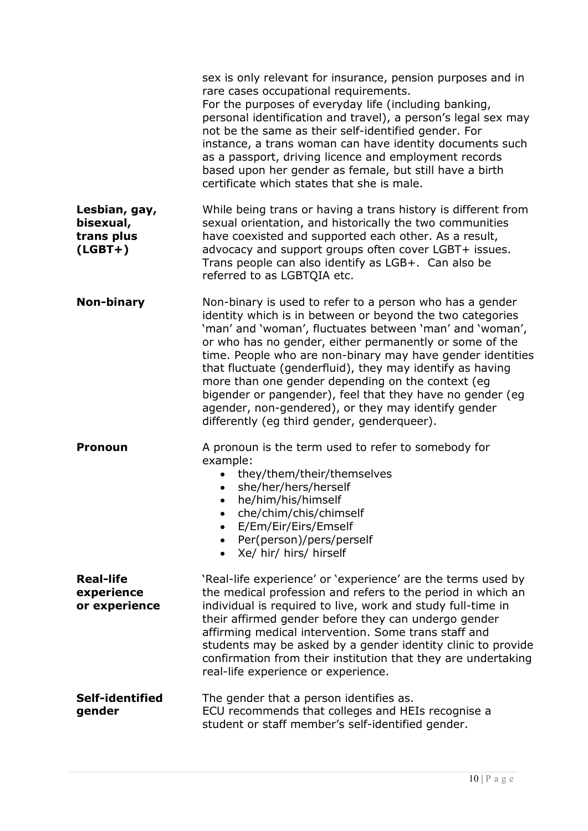|                                                       | sex is only relevant for insurance, pension purposes and in<br>rare cases occupational requirements.<br>For the purposes of everyday life (including banking,<br>personal identification and travel), a person's legal sex may<br>not be the same as their self-identified gender. For<br>instance, a trans woman can have identity documents such<br>as a passport, driving licence and employment records<br>based upon her gender as female, but still have a birth<br>certificate which states that she is male.                                                                            |
|-------------------------------------------------------|-------------------------------------------------------------------------------------------------------------------------------------------------------------------------------------------------------------------------------------------------------------------------------------------------------------------------------------------------------------------------------------------------------------------------------------------------------------------------------------------------------------------------------------------------------------------------------------------------|
| Lesbian, gay,<br>bisexual,<br>trans plus<br>$(LGBT+)$ | While being trans or having a trans history is different from<br>sexual orientation, and historically the two communities<br>have coexisted and supported each other. As a result,<br>advocacy and support groups often cover LGBT+ issues.<br>Trans people can also identify as LGB+. Can also be<br>referred to as LGBTQIA etc.                                                                                                                                                                                                                                                               |
| Non-binary                                            | Non-binary is used to refer to a person who has a gender<br>identity which is in between or beyond the two categories<br>'man' and 'woman', fluctuates between 'man' and 'woman',<br>or who has no gender, either permanently or some of the<br>time. People who are non-binary may have gender identities<br>that fluctuate (genderfluid), they may identify as having<br>more than one gender depending on the context (eg<br>bigender or pangender), feel that they have no gender (eg<br>agender, non-gendered), or they may identify gender<br>differently (eg third gender, genderqueer). |
| <b>Pronoun</b>                                        | A pronoun is the term used to refer to somebody for<br>example:<br>they/them/their/themselves<br>she/her/hers/herself<br>he/him/his/himself<br>che/chim/chis/chimself<br>E/Em/Eir/Eirs/Emself<br>Per(person)/pers/perself<br>Xe/ hir/ hirs/ hirself                                                                                                                                                                                                                                                                                                                                             |
| <b>Real-life</b><br>experience<br>or experience       | 'Real-life experience' or 'experience' are the terms used by<br>the medical profession and refers to the period in which an<br>individual is required to live, work and study full-time in<br>their affirmed gender before they can undergo gender<br>affirming medical intervention. Some trans staff and<br>students may be asked by a gender identity clinic to provide<br>confirmation from their institution that they are undertaking<br>real-life experience or experience.                                                                                                              |
| Self-identified<br>gender                             | The gender that a person identifies as.<br>ECU recommends that colleges and HEIs recognise a<br>student or staff member's self-identified gender.                                                                                                                                                                                                                                                                                                                                                                                                                                               |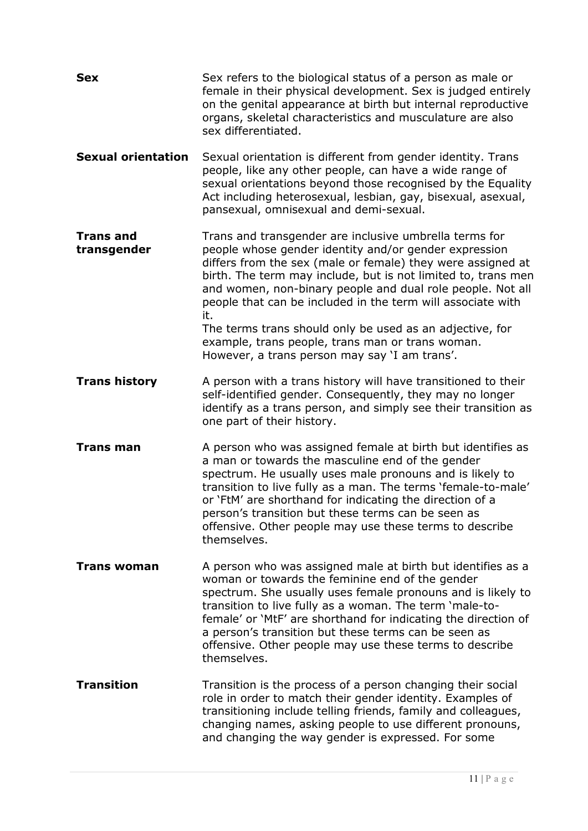| <b>Sex</b>                      | Sex refers to the biological status of a person as male or<br>female in their physical development. Sex is judged entirely<br>on the genital appearance at birth but internal reproductive<br>organs, skeletal characteristics and musculature are also<br>sex differentiated.                                                                                                                                                                                                                                                                       |
|---------------------------------|------------------------------------------------------------------------------------------------------------------------------------------------------------------------------------------------------------------------------------------------------------------------------------------------------------------------------------------------------------------------------------------------------------------------------------------------------------------------------------------------------------------------------------------------------|
| <b>Sexual orientation</b>       | Sexual orientation is different from gender identity. Trans<br>people, like any other people, can have a wide range of<br>sexual orientations beyond those recognised by the Equality<br>Act including heterosexual, lesbian, gay, bisexual, asexual,<br>pansexual, omnisexual and demi-sexual.                                                                                                                                                                                                                                                      |
| <b>Trans and</b><br>transgender | Trans and transgender are inclusive umbrella terms for<br>people whose gender identity and/or gender expression<br>differs from the sex (male or female) they were assigned at<br>birth. The term may include, but is not limited to, trans men<br>and women, non-binary people and dual role people. Not all<br>people that can be included in the term will associate with<br>it.<br>The terms trans should only be used as an adjective, for<br>example, trans people, trans man or trans woman.<br>However, a trans person may say 'I am trans'. |
| <b>Trans history</b>            | A person with a trans history will have transitioned to their<br>self-identified gender. Consequently, they may no longer<br>identify as a trans person, and simply see their transition as<br>one part of their history.                                                                                                                                                                                                                                                                                                                            |
| <b>Trans man</b>                | A person who was assigned female at birth but identifies as<br>a man or towards the masculine end of the gender<br>spectrum. He usually uses male pronouns and is likely to<br>transition to live fully as a man. The terms 'female-to-male'<br>or 'FtM' are shorthand for indicating the direction of a<br>person's transition but these terms can be seen as<br>offensive. Other people may use these terms to describe<br>themselves.                                                                                                             |
| <b>Trans woman</b>              | A person who was assigned male at birth but identifies as a<br>woman or towards the feminine end of the gender<br>spectrum. She usually uses female pronouns and is likely to<br>transition to live fully as a woman. The term 'male-to-<br>female' or 'MtF' are shorthand for indicating the direction of<br>a person's transition but these terms can be seen as<br>offensive. Other people may use these terms to describe<br>themselves.                                                                                                         |
| <b>Transition</b>               | Transition is the process of a person changing their social<br>role in order to match their gender identity. Examples of<br>transitioning include telling friends, family and colleagues,<br>changing names, asking people to use different pronouns,<br>and changing the way gender is expressed. For some                                                                                                                                                                                                                                          |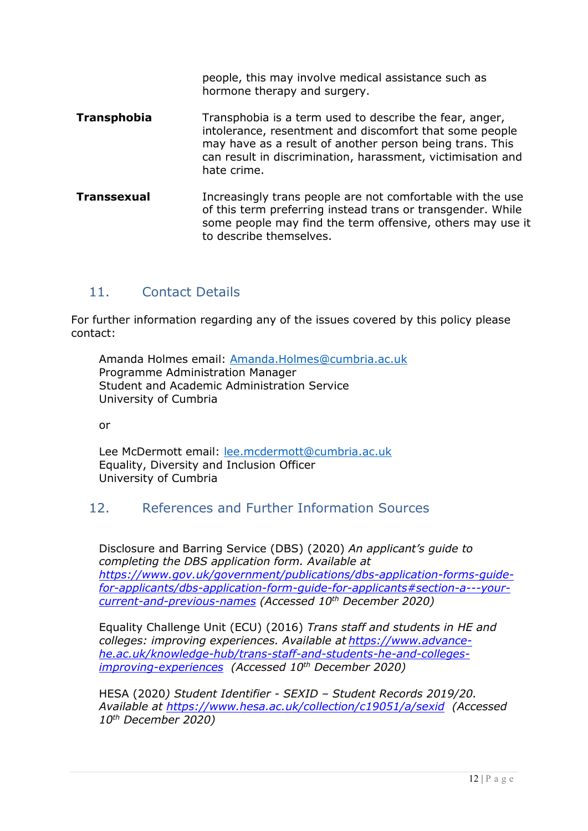hormone therapy and surgery. **Transphobia** Transphobia is a term used to describe the fear, anger, intolerance, resentment and discomfort that some people may have as a result of another person being trans. This can result in discrimination, harassment, victimisation and hate crime. **Transsexual** Increasingly trans people are not comfortable with the use of this term preferring instead trans or transgender. While some people may find the term offensive, others may use it to describe themselves.

people, this may involve medical assistance such as

### <span id="page-11-0"></span>11. Contact Details

For further information regarding any of the issues covered by this policy please contact:

Amanda Holmes email: [Amanda.Holmes@cumbria.ac.uk](mailto:Amanda.Holmes@cumbria.ac.uk) Programme Administration Manager Student and Academic Administration Service University of Cumbria

or

Lee McDermott email: [lee.mcdermott@cumbria.ac.uk](mailto:lee.mcdermott@cumbria.ac.uk) Equality, Diversity and Inclusion Officer University of Cumbria

### <span id="page-11-1"></span>12. References and Further Information Sources

Disclosure and Barring Service (DBS) (2020) *An applicant's guide to completing the DBS application form. Available at https://www.gov.uk/government/publications/dbs-application-forms-guidefor-applicants/dbs-application-form-guide-for-applicants#section-a---yourcurrent-and-previous-names (Accessed 10th December 2020)*

Equality Challenge Unit (ECU) (2016) *Trans staff and students in HE and colleges: improving experiences. Available at https://www.advancehe.ac.uk/knowledge-hub/trans-staff-and-students-he-and-collegesimproving-experiences (Accessed 10th December 2020)*

HESA (2020*) Student Identifier - SEXID – Student Records 2019/20. Available at https://www.hesa.ac.uk/collection/c19051/a/sexid (Accessed 10th December 2020)*